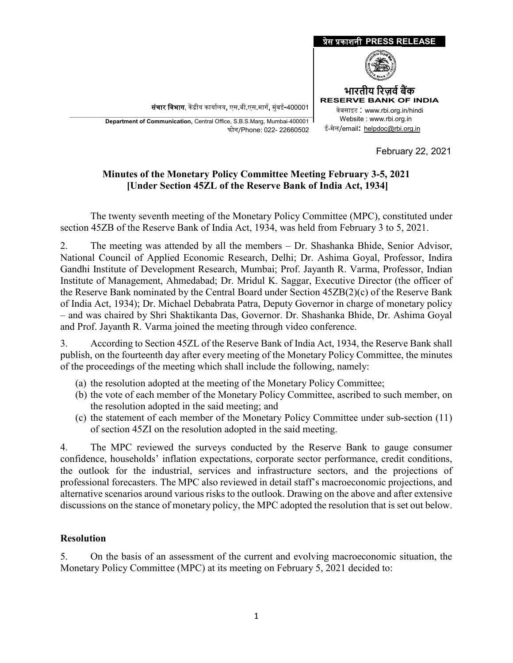

**Department of Communication,** Central Office, S.B.S.Marg, Mumbai-400001 फोन/Phone: 022- 22660502

February 22, 2021

## **Minutes of the Monetary Policy Committee Meeting February 3-5, 2021 [Under Section 45ZL of the Reserve Bank of India Act, 1934]**

The twenty seventh meeting of the Monetary Policy Committee (MPC), constituted under section 45ZB of the Reserve Bank of India Act, 1934, was held from February 3 to 5, 2021.

2. The meeting was attended by all the members – Dr. Shashanka Bhide, Senior Advisor, National Council of Applied Economic Research, Delhi; Dr. Ashima Goyal, Professor, Indira Gandhi Institute of Development Research, Mumbai; Prof. Jayanth R. Varma, Professor, Indian Institute of Management, Ahmedabad; Dr. Mridul K. Saggar, Executive Director (the officer of the Reserve Bank nominated by the Central Board under Section 45ZB(2)(c) of the Reserve Bank of India Act, 1934); Dr. Michael Debabrata Patra, Deputy Governor in charge of monetary policy – and was chaired by Shri Shaktikanta Das, Governor. Dr. Shashanka Bhide, Dr. Ashima Goyal and Prof. Jayanth R. Varma joined the meeting through video conference.

3. According to Section 45ZL of the Reserve Bank of India Act, 1934, the Reserve Bank shall publish, on the fourteenth day after every meeting of the Monetary Policy Committee, the minutes of the proceedings of the meeting which shall include the following, namely:

- (a) the resolution adopted at the meeting of the Monetary Policy Committee;
- (b) the vote of each member of the Monetary Policy Committee, ascribed to such member, on the resolution adopted in the said meeting; and
- (c) the statement of each member of the Monetary Policy Committee under sub-section (11) of section 45ZI on the resolution adopted in the said meeting.

4. The MPC reviewed the surveys conducted by the Reserve Bank to gauge consumer confidence, households' inflation expectations, corporate sector performance, credit conditions, the outlook for the industrial, services and infrastructure sectors, and the projections of professional forecasters. The MPC also reviewed in detail staff's macroeconomic projections, and alternative scenarios around various risks to the outlook. Drawing on the above and after extensive discussions on the stance of monetary policy, the MPC adopted the resolution that is set out below.

#### **Resolution**

5. On the basis of an assessment of the current and evolving macroeconomic situation, the Monetary Policy Committee (MPC) at its meeting on February 5, 2021 decided to: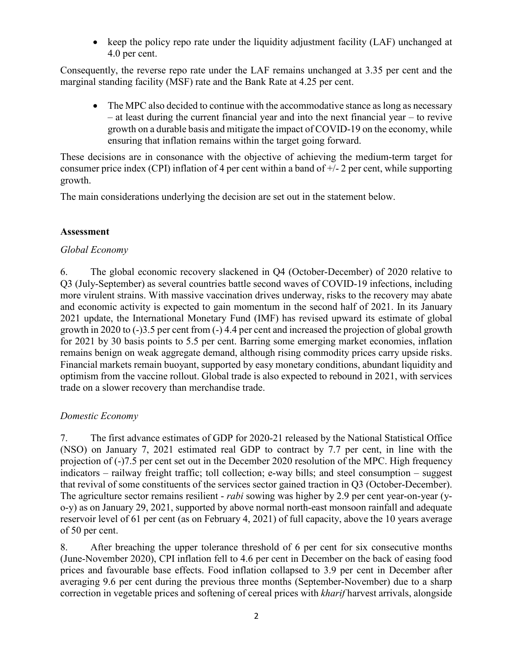• keep the policy repo rate under the liquidity adjustment facility (LAF) unchanged at 4.0 per cent.

Consequently, the reverse repo rate under the LAF remains unchanged at 3.35 per cent and the marginal standing facility (MSF) rate and the Bank Rate at 4.25 per cent.

The MPC also decided to continue with the accommodative stance as long as necessary – at least during the current financial year and into the next financial year – to revive growth on a durable basis and mitigate the impact of COVID-19 on the economy, while ensuring that inflation remains within the target going forward.

These decisions are in consonance with the objective of achieving the medium-term target for consumer price index (CPI) inflation of 4 per cent within a band of  $+/-2$  per cent, while supporting growth.

The main considerations underlying the decision are set out in the statement below.

#### **Assessment**

#### *Global Economy*

6. The global economic recovery slackened in Q4 (October-December) of 2020 relative to Q3 (July-September) as several countries battle second waves of COVID-19 infections, including more virulent strains. With massive vaccination drives underway, risks to the recovery may abate and economic activity is expected to gain momentum in the second half of 2021. In its January 2021 update, the International Monetary Fund (IMF) has revised upward its estimate of global growth in 2020 to (-)3.5 per cent from (-) 4.4 per cent and increased the projection of global growth for 2021 by 30 basis points to 5.5 per cent. Barring some emerging market economies, inflation remains benign on weak aggregate demand, although rising commodity prices carry upside risks. Financial markets remain buoyant, supported by easy monetary conditions, abundant liquidity and optimism from the vaccine rollout. Global trade is also expected to rebound in 2021, with services trade on a slower recovery than merchandise trade.

## *Domestic Economy*

7. The first advance estimates of GDP for 2020-21 released by the National Statistical Office (NSO) on January 7, 2021 estimated real GDP to contract by 7.7 per cent, in line with the projection of (-)7.5 per cent set out in the December 2020 resolution of the MPC. High frequency indicators – railway freight traffic; toll collection; e-way bills; and steel consumption – suggest that revival of some constituents of the services sector gained traction in Q3 (October-December). The agriculture sector remains resilient - *rabi* sowing was higher by 2.9 per cent year-on-year (yo-y) as on January 29, 2021, supported by above normal north-east monsoon rainfall and adequate reservoir level of 61 per cent (as on February 4, 2021) of full capacity, above the 10 years average of 50 per cent.

8. After breaching the upper tolerance threshold of 6 per cent for six consecutive months (June-November 2020), CPI inflation fell to 4.6 per cent in December on the back of easing food prices and favourable base effects. Food inflation collapsed to 3.9 per cent in December after averaging 9.6 per cent during the previous three months (September-November) due to a sharp correction in vegetable prices and softening of cereal prices with *kharif* harvest arrivals, alongside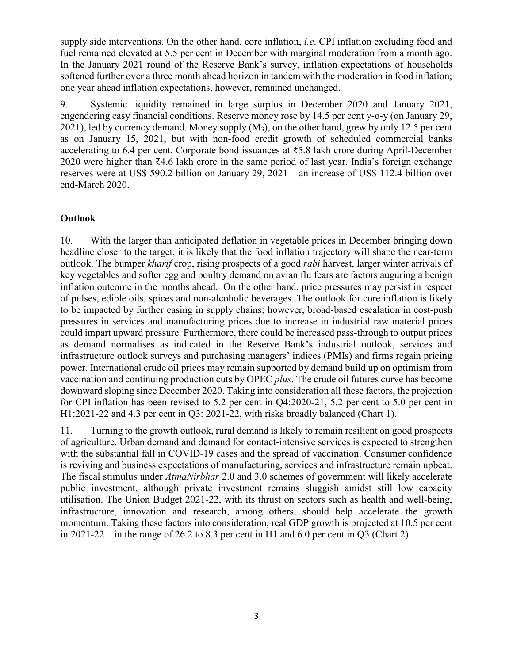supply side interventions. On the other hand, core inflation, *i.e*. CPI inflation excluding food and fuel remained elevated at 5.5 per cent in December with marginal moderation from a month ago. In the January 2021 round of the Reserve Bank's survey, inflation expectations of households softened further over a three month ahead horizon in tandem with the moderation in food inflation; one year ahead inflation expectations, however, remained unchanged.

9. Systemic liquidity remained in large surplus in December 2020 and January 2021, engendering easy financial conditions. Reserve money rose by 14.5 per cent y-o-y (on January 29, 2021), led by currency demand. Money supply  $(M_3)$ , on the other hand, grew by only 12.5 per cent as on January 15, 2021, but with non-food credit growth of scheduled commercial banks accelerating to 6.4 per cent. Corporate bond issuances at ₹5.8 lakh crore during April-December 2020 were higher than ₹4.6 lakh crore in the same period of last year. India's foreign exchange reserves were at US\$ 590.2 billion on January 29, 2021 – an increase of US\$ 112.4 billion over end-March 2020.

## **Outlook**

10. With the larger than anticipated deflation in vegetable prices in December bringing down headline closer to the target, it is likely that the food inflation trajectory will shape the near-term outlook. The bumper *kharif* crop, rising prospects of a good *rabi* harvest, larger winter arrivals of key vegetables and softer egg and poultry demand on avian flu fears are factors auguring a benign inflation outcome in the months ahead. On the other hand, price pressures may persist in respect of pulses, edible oils, spices and non-alcoholic beverages. The outlook for core inflation is likely to be impacted by further easing in supply chains; however, broad-based escalation in cost-push pressures in services and manufacturing prices due to increase in industrial raw material prices could impart upward pressure. Furthermore, there could be increased pass-through to output prices as demand normalises as indicated in the Reserve Bank's industrial outlook, services and infrastructure outlook surveys and purchasing managers' indices (PMIs) and firms regain pricing power. International crude oil prices may remain supported by demand build up on optimism from vaccination and continuing production cuts by OPEC *plus*. The crude oil futures curve has become downward sloping since December 2020. Taking into consideration all these factors, the projection for CPI inflation has been revised to 5.2 per cent in Q4:2020-21, 5.2 per cent to 5.0 per cent in H1:2021-22 and 4.3 per cent in Q3: 2021-22, with risks broadly balanced (Chart 1).

11. Turning to the growth outlook, rural demand is likely to remain resilient on good prospects of agriculture. Urban demand and demand for contact-intensive services is expected to strengthen with the substantial fall in COVID-19 cases and the spread of vaccination. Consumer confidence is reviving and business expectations of manufacturing, services and infrastructure remain upbeat. The fiscal stimulus under *AtmaNirbhar* 2.0 and 3.0 schemes of government will likely accelerate public investment, although private investment remains sluggish amidst still low capacity utilisation. The Union Budget 2021-22, with its thrust on sectors such as health and well-being, infrastructure, innovation and research, among others, should help accelerate the growth momentum. Taking these factors into consideration, real GDP growth is projected at 10.5 per cent in 2021-22 – in the range of 26.2 to 8.3 per cent in H1 and 6.0 per cent in Q3 (Chart 2).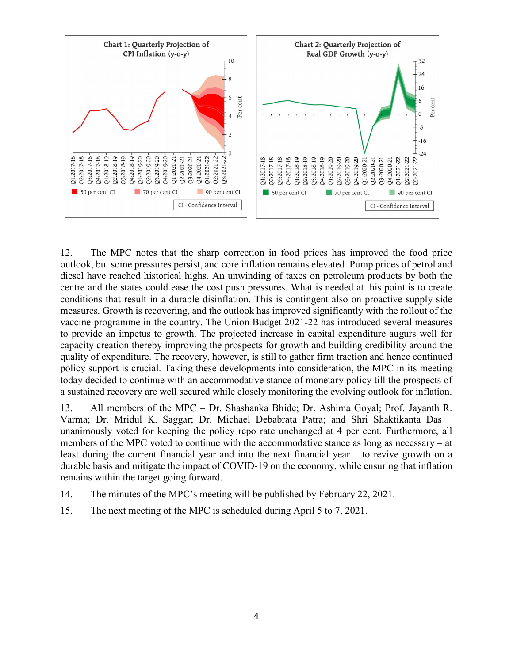

12. The MPC notes that the sharp correction in food prices has improved the food price outlook, but some pressures persist, and core inflation remains elevated. Pump prices of petrol and diesel have reached historical highs. An unwinding of taxes on petroleum products by both the centre and the states could ease the cost push pressures. What is needed at this point is to create conditions that result in a durable disinflation. This is contingent also on proactive supply side measures. Growth is recovering, and the outlook has improved significantly with the rollout of the vaccine programme in the country. The Union Budget 2021-22 has introduced several measures to provide an impetus to growth. The projected increase in capital expenditure augurs well for capacity creation thereby improving the prospects for growth and building credibility around the quality of expenditure. The recovery, however, is still to gather firm traction and hence continued policy support is crucial. Taking these developments into consideration, the MPC in its meeting today decided to continue with an accommodative stance of monetary policy till the prospects of a sustained recovery are well secured while closely monitoring the evolving outlook for inflation.

13. All members of the MPC – Dr. Shashanka Bhide; Dr. Ashima Goyal; Prof. Jayanth R. Varma; Dr. Mridul K. Saggar; Dr. Michael Debabrata Patra; and Shri Shaktikanta Das – unanimously voted for keeping the policy repo rate unchanged at 4 per cent. Furthermore, all members of the MPC voted to continue with the accommodative stance as long as necessary – at least during the current financial year and into the next financial year – to revive growth on a durable basis and mitigate the impact of COVID-19 on the economy, while ensuring that inflation remains within the target going forward.

- 14. The minutes of the MPC's meeting will be published by February 22, 2021.
- 15. The next meeting of the MPC is scheduled during April 5 to 7, 2021.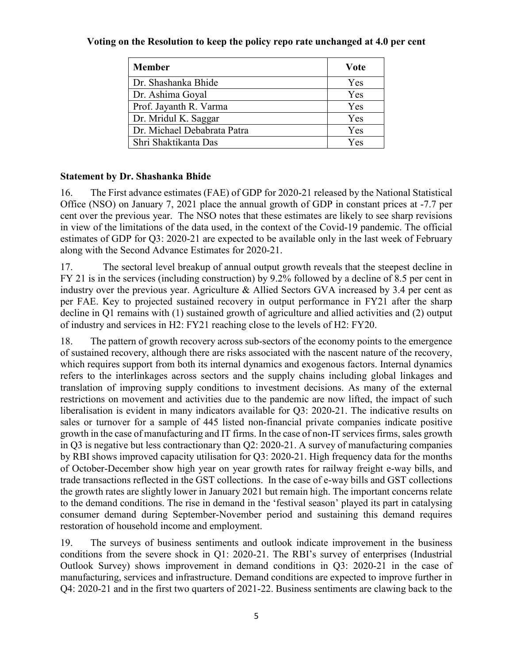#### **Voting on the Resolution to keep the policy repo rate unchanged at 4.0 per cent**

| <b>Member</b>               | Vote |
|-----------------------------|------|
| Dr. Shashanka Bhide         | Yes  |
| Dr. Ashima Goyal            | Yes  |
| Prof. Jayanth R. Varma      | Yes  |
| Dr. Mridul K. Saggar        | Yes  |
| Dr. Michael Debabrata Patra | Yes  |
| Shri Shaktikanta Das        | Yes  |

## **Statement by Dr. Shashanka Bhide**

16. The First advance estimates (FAE) of GDP for 2020-21 released by the National Statistical Office (NSO) on January 7, 2021 place the annual growth of GDP in constant prices at -7.7 per cent over the previous year. The NSO notes that these estimates are likely to see sharp revisions in view of the limitations of the data used, in the context of the Covid-19 pandemic. The official estimates of GDP for Q3: 2020-21 are expected to be available only in the last week of February along with the Second Advance Estimates for 2020-21.

17. The sectoral level breakup of annual output growth reveals that the steepest decline in FY 21 is in the services (including construction) by 9.2% followed by a decline of 8.5 per cent in industry over the previous year. Agriculture & Allied Sectors GVA increased by 3.4 per cent as per FAE. Key to projected sustained recovery in output performance in FY21 after the sharp decline in Q1 remains with (1) sustained growth of agriculture and allied activities and (2) output of industry and services in H2: FY21 reaching close to the levels of H2: FY20.

18. The pattern of growth recovery across sub-sectors of the economy points to the emergence of sustained recovery, although there are risks associated with the nascent nature of the recovery, which requires support from both its internal dynamics and exogenous factors. Internal dynamics refers to the interlinkages across sectors and the supply chains including global linkages and translation of improving supply conditions to investment decisions. As many of the external restrictions on movement and activities due to the pandemic are now lifted, the impact of such liberalisation is evident in many indicators available for Q3: 2020-21. The indicative results on sales or turnover for a sample of 445 listed non-financial private companies indicate positive growth in the case of manufacturing and IT firms. In the case of non-IT services firms, sales growth in Q3 is negative but less contractionary than Q2: 2020-21. A survey of manufacturing companies by RBI shows improved capacity utilisation for Q3: 2020-21. High frequency data for the months of October-December show high year on year growth rates for railway freight e-way bills, and trade transactions reflected in the GST collections. In the case of e-way bills and GST collections the growth rates are slightly lower in January 2021 but remain high. The important concerns relate to the demand conditions. The rise in demand in the 'festival season' played its part in catalysing consumer demand during September-November period and sustaining this demand requires restoration of household income and employment.

19. The surveys of business sentiments and outlook indicate improvement in the business conditions from the severe shock in Q1: 2020-21. The RBI's survey of enterprises (Industrial Outlook Survey) shows improvement in demand conditions in Q3: 2020-21 in the case of manufacturing, services and infrastructure. Demand conditions are expected to improve further in Q4: 2020-21 and in the first two quarters of 2021-22. Business sentiments are clawing back to the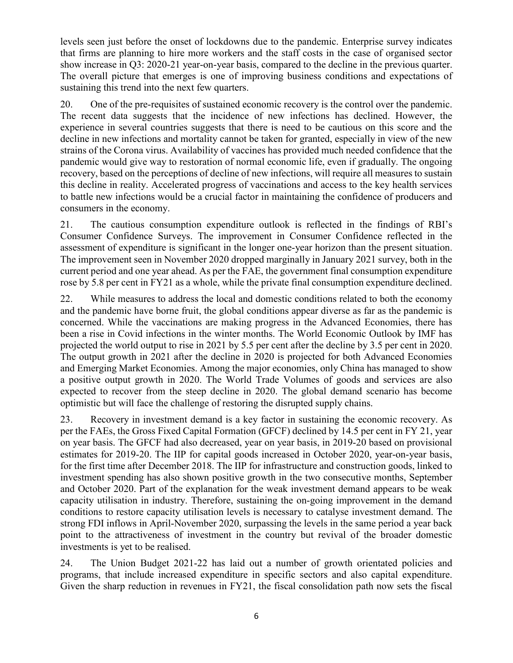levels seen just before the onset of lockdowns due to the pandemic. Enterprise survey indicates that firms are planning to hire more workers and the staff costs in the case of organised sector show increase in Q3: 2020-21 year-on-year basis, compared to the decline in the previous quarter. The overall picture that emerges is one of improving business conditions and expectations of sustaining this trend into the next few quarters.

20. One of the pre-requisites of sustained economic recovery is the control over the pandemic. The recent data suggests that the incidence of new infections has declined. However, the experience in several countries suggests that there is need to be cautious on this score and the decline in new infections and mortality cannot be taken for granted, especially in view of the new strains of the Corona virus. Availability of vaccines has provided much needed confidence that the pandemic would give way to restoration of normal economic life, even if gradually. The ongoing recovery, based on the perceptions of decline of new infections, will require all measures to sustain this decline in reality. Accelerated progress of vaccinations and access to the key health services to battle new infections would be a crucial factor in maintaining the confidence of producers and consumers in the economy.

21. The cautious consumption expenditure outlook is reflected in the findings of RBI's Consumer Confidence Surveys. The improvement in Consumer Confidence reflected in the assessment of expenditure is significant in the longer one-year horizon than the present situation. The improvement seen in November 2020 dropped marginally in January 2021 survey, both in the current period and one year ahead. As per the FAE, the government final consumption expenditure rose by 5.8 per cent in FY21 as a whole, while the private final consumption expenditure declined.

22. While measures to address the local and domestic conditions related to both the economy and the pandemic have borne fruit, the global conditions appear diverse as far as the pandemic is concerned. While the vaccinations are making progress in the Advanced Economies, there has been a rise in Covid infections in the winter months. The World Economic Outlook by IMF has projected the world output to rise in 2021 by 5.5 per cent after the decline by 3.5 per cent in 2020. The output growth in 2021 after the decline in 2020 is projected for both Advanced Economies and Emerging Market Economies. Among the major economies, only China has managed to show a positive output growth in 2020. The World Trade Volumes of goods and services are also expected to recover from the steep decline in 2020. The global demand scenario has become optimistic but will face the challenge of restoring the disrupted supply chains.

23. Recovery in investment demand is a key factor in sustaining the economic recovery. As per the FAEs, the Gross Fixed Capital Formation (GFCF) declined by 14.5 per cent in FY 21, year on year basis. The GFCF had also decreased, year on year basis, in 2019-20 based on provisional estimates for 2019-20. The IIP for capital goods increased in October 2020, year-on-year basis, for the first time after December 2018. The IIP for infrastructure and construction goods, linked to investment spending has also shown positive growth in the two consecutive months, September and October 2020. Part of the explanation for the weak investment demand appears to be weak capacity utilisation in industry. Therefore, sustaining the on-going improvement in the demand conditions to restore capacity utilisation levels is necessary to catalyse investment demand. The strong FDI inflows in April-November 2020, surpassing the levels in the same period a year back point to the attractiveness of investment in the country but revival of the broader domestic investments is yet to be realised.

24. The Union Budget 2021-22 has laid out a number of growth orientated policies and programs, that include increased expenditure in specific sectors and also capital expenditure. Given the sharp reduction in revenues in FY21, the fiscal consolidation path now sets the fiscal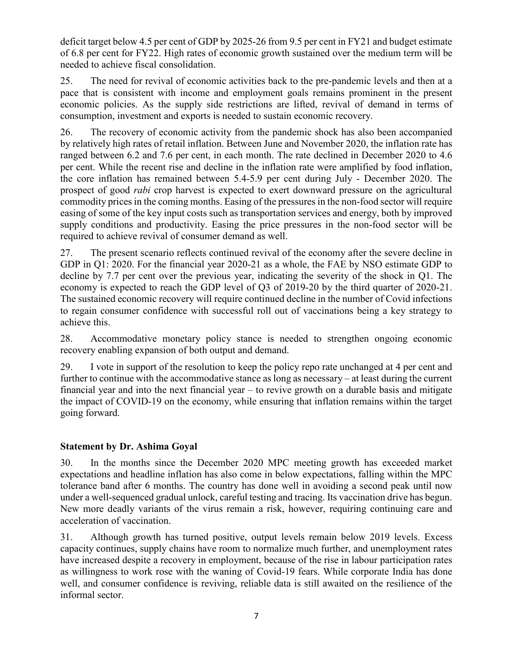deficit target below 4.5 per cent of GDP by 2025-26 from 9.5 per cent in FY21 and budget estimate of 6.8 per cent for FY22. High rates of economic growth sustained over the medium term will be needed to achieve fiscal consolidation.

25. The need for revival of economic activities back to the pre-pandemic levels and then at a pace that is consistent with income and employment goals remains prominent in the present economic policies. As the supply side restrictions are lifted, revival of demand in terms of consumption, investment and exports is needed to sustain economic recovery.

26. The recovery of economic activity from the pandemic shock has also been accompanied by relatively high rates of retail inflation. Between June and November 2020, the inflation rate has ranged between 6.2 and 7.6 per cent, in each month. The rate declined in December 2020 to 4.6 per cent. While the recent rise and decline in the inflation rate were amplified by food inflation, the core inflation has remained between 5.4-5.9 per cent during July - December 2020. The prospect of good *rabi* crop harvest is expected to exert downward pressure on the agricultural commodity prices in the coming months. Easing of the pressures in the non-food sector will require easing of some of the key input costs such as transportation services and energy, both by improved supply conditions and productivity. Easing the price pressures in the non-food sector will be required to achieve revival of consumer demand as well.

27. The present scenario reflects continued revival of the economy after the severe decline in GDP in Q1: 2020. For the financial year 2020-21 as a whole, the FAE by NSO estimate GDP to decline by 7.7 per cent over the previous year, indicating the severity of the shock in Q1. The economy is expected to reach the GDP level of Q3 of 2019-20 by the third quarter of 2020-21. The sustained economic recovery will require continued decline in the number of Covid infections to regain consumer confidence with successful roll out of vaccinations being a key strategy to achieve this.

28. Accommodative monetary policy stance is needed to strengthen ongoing economic recovery enabling expansion of both output and demand.

29. I vote in support of the resolution to keep the policy repo rate unchanged at 4 per cent and further to continue with the accommodative stance as long as necessary – at least during the current financial year and into the next financial year – to revive growth on a durable basis and mitigate the impact of COVID-19 on the economy, while ensuring that inflation remains within the target going forward.

# **Statement by Dr. Ashima Goyal**

30. In the months since the December 2020 MPC meeting growth has exceeded market expectations and headline inflation has also come in below expectations, falling within the MPC tolerance band after 6 months. The country has done well in avoiding a second peak until now under a well-sequenced gradual unlock, careful testing and tracing. Its vaccination drive has begun. New more deadly variants of the virus remain a risk, however, requiring continuing care and acceleration of vaccination.

31. Although growth has turned positive, output levels remain below 2019 levels. Excess capacity continues, supply chains have room to normalize much further, and unemployment rates have increased despite a recovery in employment, because of the rise in labour participation rates as willingness to work rose with the waning of Covid-19 fears. While corporate India has done well, and consumer confidence is reviving, reliable data is still awaited on the resilience of the informal sector.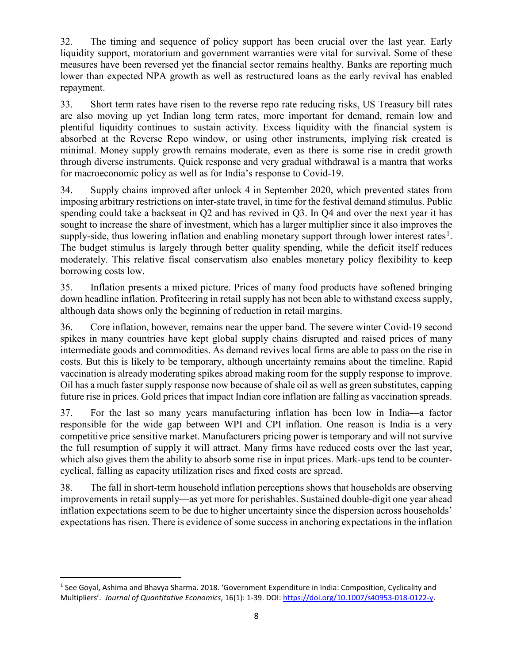32. The timing and sequence of policy support has been crucial over the last year. Early liquidity support, moratorium and government warranties were vital for survival. Some of these measures have been reversed yet the financial sector remains healthy. Banks are reporting much lower than expected NPA growth as well as restructured loans as the early revival has enabled repayment.

33. Short term rates have risen to the reverse repo rate reducing risks, US Treasury bill rates are also moving up yet Indian long term rates, more important for demand, remain low and plentiful liquidity continues to sustain activity. Excess liquidity with the financial system is absorbed at the Reverse Repo window, or using other instruments, implying risk created is minimal. Money supply growth remains moderate, even as there is some rise in credit growth through diverse instruments. Quick response and very gradual withdrawal is a mantra that works for macroeconomic policy as well as for India's response to Covid-19.

34. Supply chains improved after unlock 4 in September 2020, which prevented states from imposing arbitrary restrictions on inter-state travel, in time for the festival demand stimulus. Public spending could take a backseat in Q2 and has revived in Q3. In Q4 and over the next year it has sought to increase the share of investment, which has a larger multiplier since it also improves the supply-side, thus lowering inflation and enabling monetary support through lower interest rates<sup>[1](#page-7-0)</sup>. The budget stimulus is largely through better quality spending, while the deficit itself reduces moderately. This relative fiscal conservatism also enables monetary policy flexibility to keep borrowing costs low.

35. Inflation presents a mixed picture. Prices of many food products have softened bringing down headline inflation. Profiteering in retail supply has not been able to withstand excess supply, although data shows only the beginning of reduction in retail margins.

36. Core inflation, however, remains near the upper band. The severe winter Covid-19 second spikes in many countries have kept global supply chains disrupted and raised prices of many intermediate goods and commodities. As demand revives local firms are able to pass on the rise in costs. But this is likely to be temporary, although uncertainty remains about the timeline. Rapid vaccination is already moderating spikes abroad making room for the supply response to improve. Oil has a much faster supply response now because of shale oil as well as green substitutes, capping future rise in prices. Gold prices that impact Indian core inflation are falling as vaccination spreads.

37. For the last so many years manufacturing inflation has been low in India—a factor responsible for the wide gap between WPI and CPI inflation. One reason is India is a very competitive price sensitive market. Manufacturers pricing power is temporary and will not survive the full resumption of supply it will attract. Many firms have reduced costs over the last year, which also gives them the ability to absorb some rise in input prices. Mark-ups tend to be countercyclical, falling as capacity utilization rises and fixed costs are spread.

38. The fall in short-term household inflation perceptions shows that households are observing improvements in retail supply—as yet more for perishables. Sustained double-digit one year ahead inflation expectations seem to be due to higher uncertainty since the dispersion across households' expectations has risen. There is evidence of some success in anchoring expectations in the inflation

<span id="page-7-0"></span> <sup>1</sup> See Goyal, Ashima and Bhavya Sharma. 2018. 'Government Expenditure in India: Composition, Cyclicality and Multipliers'. *Journal of Quantitative Economics*, 16(1): 1-39. DOI: [https://doi.org/10.1007/s40953-018-0122-y.](https://doi.org/10.1007/s40953-018-0122-y)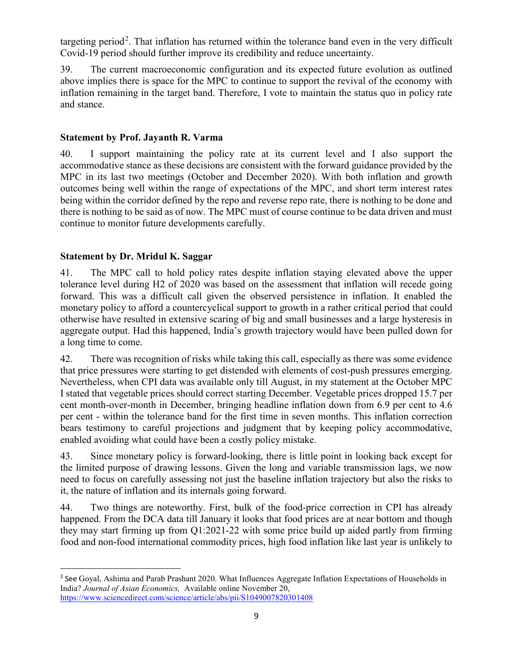targeting period<sup>[2](#page-8-0)</sup>. That inflation has returned within the tolerance band even in the very difficult Covid-19 period should further improve its credibility and reduce uncertainty.

39. The current macroeconomic configuration and its expected future evolution as outlined above implies there is space for the MPC to continue to support the revival of the economy with inflation remaining in the target band. Therefore, I vote to maintain the status quo in policy rate and stance.

## **Statement by Prof. Jayanth R. Varma**

40. I support maintaining the policy rate at its current level and I also support the accommodative stance as these decisions are consistent with the forward guidance provided by the MPC in its last two meetings (October and December 2020). With both inflation and growth outcomes being well within the range of expectations of the MPC, and short term interest rates being within the corridor defined by the repo and reverse repo rate, there is nothing to be done and there is nothing to be said as of now. The MPC must of course continue to be data driven and must continue to monitor future developments carefully.

# **Statement by Dr. Mridul K. Saggar**

41. The MPC call to hold policy rates despite inflation staying elevated above the upper tolerance level during H2 of 2020 was based on the assessment that inflation will recede going forward. This was a difficult call given the observed persistence in inflation. It enabled the monetary policy to afford a countercyclical support to growth in a rather critical period that could otherwise have resulted in extensive scaring of big and small businesses and a large hysteresis in aggregate output. Had this happened, India's growth trajectory would have been pulled down for a long time to come.

42. There was recognition of risks while taking this call, especially as there was some evidence that price pressures were starting to get distended with elements of cost-push pressures emerging. Nevertheless, when CPI data was available only till August, in my statement at the October MPC I stated that vegetable prices should correct starting December. Vegetable prices dropped 15.7 per cent month-over-month in December, bringing headline inflation down from 6.9 per cent to 4.6 per cent - within the tolerance band for the first time in seven months. This inflation correction bears testimony to careful projections and judgment that by keeping policy accommodative, enabled avoiding what could have been a costly policy mistake.

43. Since monetary policy is forward-looking, there is little point in looking back except for the limited purpose of drawing lessons. Given the long and variable transmission lags, we now need to focus on carefully assessing not just the baseline inflation trajectory but also the risks to it, the nature of inflation and its internals going forward.

44. Two things are noteworthy. First, bulk of the food-price correction in CPI has already happened. From the DCA data till January it looks that food prices are at near bottom and though they may start firming up from Q1:2021-22 with some price build up aided partly from firming food and non-food international commodity prices, high food inflation like last year is unlikely to

<span id="page-8-0"></span><sup>&</sup>lt;sup>2</sup> See Goyal, Ashima and Parab Prashant 2020. What Influences Aggregate Inflation Expectations of Households in India? *Journal of Asian Economics,* Available online November 20, <https://www.sciencedirect.com/science/article/abs/pii/S1049007820301408>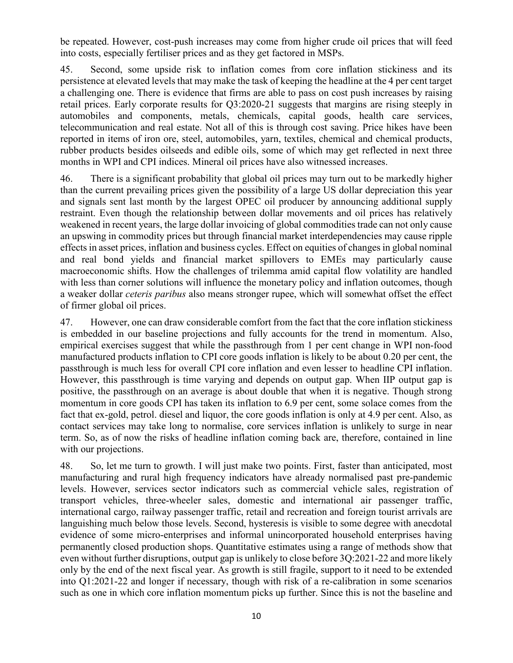be repeated. However, cost-push increases may come from higher crude oil prices that will feed into costs, especially fertiliser prices and as they get factored in MSPs.

45. Second, some upside risk to inflation comes from core inflation stickiness and its persistence at elevated levels that may make the task of keeping the headline at the 4 per cent target a challenging one. There is evidence that firms are able to pass on cost push increases by raising retail prices. Early corporate results for Q3:2020-21 suggests that margins are rising steeply in automobiles and components, metals, chemicals, capital goods, health care services, telecommunication and real estate. Not all of this is through cost saving. Price hikes have been reported in items of iron ore, steel, automobiles, yarn, textiles, chemical and chemical products, rubber products besides oilseeds and edible oils, some of which may get reflected in next three months in WPI and CPI indices. Mineral oil prices have also witnessed increases.

46. There is a significant probability that global oil prices may turn out to be markedly higher than the current prevailing prices given the possibility of a large US dollar depreciation this year and signals sent last month by the largest OPEC oil producer by announcing additional supply restraint. Even though the relationship between dollar movements and oil prices has relatively weakened in recent years, the large dollar invoicing of global commodities trade can not only cause an upswing in commodity prices but through financial market interdependencies may cause ripple effects in asset prices, inflation and business cycles. Effect on equities of changes in global nominal and real bond yields and financial market spillovers to EMEs may particularly cause macroeconomic shifts. How the challenges of trilemma amid capital flow volatility are handled with less than corner solutions will influence the monetary policy and inflation outcomes, though a weaker dollar *ceteris paribus* also means stronger rupee, which will somewhat offset the effect of firmer global oil prices.

47. However, one can draw considerable comfort from the fact that the core inflation stickiness is embedded in our baseline projections and fully accounts for the trend in momentum. Also, empirical exercises suggest that while the passthrough from 1 per cent change in WPI non-food manufactured products inflation to CPI core goods inflation is likely to be about 0.20 per cent, the passthrough is much less for overall CPI core inflation and even lesser to headline CPI inflation. However, this passthrough is time varying and depends on output gap. When IIP output gap is positive, the passthrough on an average is about double that when it is negative. Though strong momentum in core goods CPI has taken its inflation to 6.9 per cent, some solace comes from the fact that ex-gold, petrol. diesel and liquor, the core goods inflation is only at 4.9 per cent. Also, as contact services may take long to normalise, core services inflation is unlikely to surge in near term. So, as of now the risks of headline inflation coming back are, therefore, contained in line with our projections.

48. So, let me turn to growth. I will just make two points. First, faster than anticipated, most manufacturing and rural high frequency indicators have already normalised past pre-pandemic levels. However, services sector indicators such as commercial vehicle sales, registration of transport vehicles, three-wheeler sales, domestic and international air passenger traffic, international cargo, railway passenger traffic, retail and recreation and foreign tourist arrivals are languishing much below those levels. Second, hysteresis is visible to some degree with anecdotal evidence of some micro-enterprises and informal unincorporated household enterprises having permanently closed production shops. Quantitative estimates using a range of methods show that even without further disruptions, output gap is unlikely to close before 3Q:2021-22 and more likely only by the end of the next fiscal year. As growth is still fragile, support to it need to be extended into Q1:2021-22 and longer if necessary, though with risk of a re-calibration in some scenarios such as one in which core inflation momentum picks up further. Since this is not the baseline and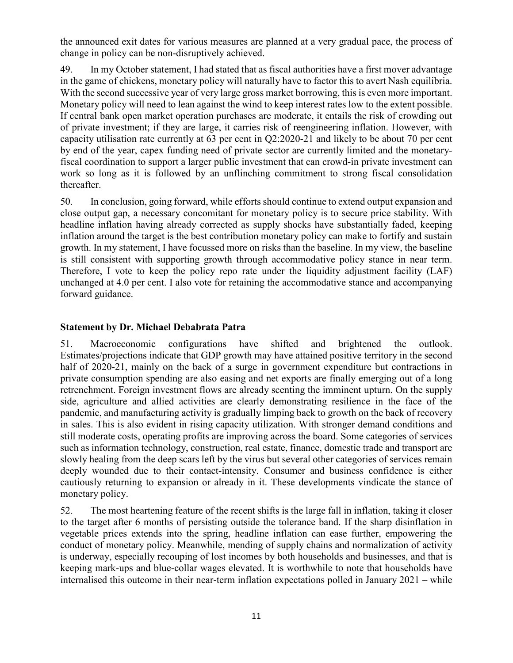the announced exit dates for various measures are planned at a very gradual pace, the process of change in policy can be non-disruptively achieved.

49. In my October statement, I had stated that as fiscal authorities have a first mover advantage in the game of chickens, monetary policy will naturally have to factor this to avert Nash equilibria. With the second successive year of very large gross market borrowing, this is even more important. Monetary policy will need to lean against the wind to keep interest rates low to the extent possible. If central bank open market operation purchases are moderate, it entails the risk of crowding out of private investment; if they are large, it carries risk of reengineering inflation. However, with capacity utilisation rate currently at 63 per cent in Q2:2020-21 and likely to be about 70 per cent by end of the year, capex funding need of private sector are currently limited and the monetaryfiscal coordination to support a larger public investment that can crowd-in private investment can work so long as it is followed by an unflinching commitment to strong fiscal consolidation thereafter.

50. In conclusion, going forward, while efforts should continue to extend output expansion and close output gap, a necessary concomitant for monetary policy is to secure price stability. With headline inflation having already corrected as supply shocks have substantially faded, keeping inflation around the target is the best contribution monetary policy can make to fortify and sustain growth. In my statement, I have focussed more on risks than the baseline. In my view, the baseline is still consistent with supporting growth through accommodative policy stance in near term. Therefore, I vote to keep the policy repo rate under the liquidity adjustment facility (LAF) unchanged at 4.0 per cent. I also vote for retaining the accommodative stance and accompanying forward guidance.

## **Statement by Dr. Michael Debabrata Patra**

51. Macroeconomic configurations have shifted and brightened the outlook. Estimates/projections indicate that GDP growth may have attained positive territory in the second half of 2020-21, mainly on the back of a surge in government expenditure but contractions in private consumption spending are also easing and net exports are finally emerging out of a long retrenchment. Foreign investment flows are already scenting the imminent upturn. On the supply side, agriculture and allied activities are clearly demonstrating resilience in the face of the pandemic, and manufacturing activity is gradually limping back to growth on the back of recovery in sales. This is also evident in rising capacity utilization. With stronger demand conditions and still moderate costs, operating profits are improving across the board. Some categories of services such as information technology, construction, real estate, finance, domestic trade and transport are slowly healing from the deep scars left by the virus but several other categories of services remain deeply wounded due to their contact-intensity. Consumer and business confidence is either cautiously returning to expansion or already in it. These developments vindicate the stance of monetary policy.

52. The most heartening feature of the recent shifts is the large fall in inflation, taking it closer to the target after 6 months of persisting outside the tolerance band. If the sharp disinflation in vegetable prices extends into the spring, headline inflation can ease further, empowering the conduct of monetary policy. Meanwhile, mending of supply chains and normalization of activity is underway, especially recouping of lost incomes by both households and businesses, and that is keeping mark-ups and blue-collar wages elevated. It is worthwhile to note that households have internalised this outcome in their near-term inflation expectations polled in January 2021 – while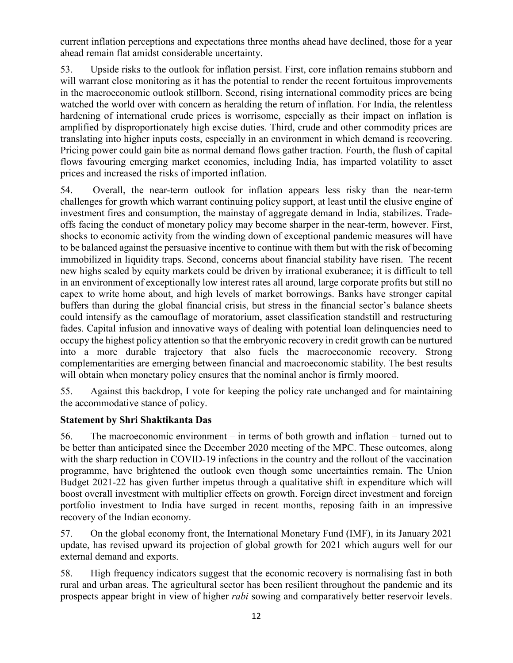current inflation perceptions and expectations three months ahead have declined, those for a year ahead remain flat amidst considerable uncertainty.

53. Upside risks to the outlook for inflation persist. First, core inflation remains stubborn and will warrant close monitoring as it has the potential to render the recent fortuitous improvements in the macroeconomic outlook stillborn. Second, rising international commodity prices are being watched the world over with concern as heralding the return of inflation. For India, the relentless hardening of international crude prices is worrisome, especially as their impact on inflation is amplified by disproportionately high excise duties. Third, crude and other commodity prices are translating into higher inputs costs, especially in an environment in which demand is recovering. Pricing power could gain bite as normal demand flows gather traction. Fourth, the flush of capital flows favouring emerging market economies, including India, has imparted volatility to asset prices and increased the risks of imported inflation.

54. Overall, the near-term outlook for inflation appears less risky than the near-term challenges for growth which warrant continuing policy support, at least until the elusive engine of investment fires and consumption, the mainstay of aggregate demand in India, stabilizes. Tradeoffs facing the conduct of monetary policy may become sharper in the near-term, however. First, shocks to economic activity from the winding down of exceptional pandemic measures will have to be balanced against the persuasive incentive to continue with them but with the risk of becoming immobilized in liquidity traps. Second, concerns about financial stability have risen. The recent new highs scaled by equity markets could be driven by irrational exuberance; it is difficult to tell in an environment of exceptionally low interest rates all around, large corporate profits but still no capex to write home about, and high levels of market borrowings. Banks have stronger capital buffers than during the global financial crisis, but stress in the financial sector's balance sheets could intensify as the camouflage of moratorium, asset classification standstill and restructuring fades. Capital infusion and innovative ways of dealing with potential loan delinquencies need to occupy the highest policy attention so that the embryonic recovery in credit growth can be nurtured into a more durable trajectory that also fuels the macroeconomic recovery. Strong complementarities are emerging between financial and macroeconomic stability. The best results will obtain when monetary policy ensures that the nominal anchor is firmly moored.

55. Against this backdrop, I vote for keeping the policy rate unchanged and for maintaining the accommodative stance of policy.

# **Statement by Shri Shaktikanta Das**

56. The macroeconomic environment – in terms of both growth and inflation – turned out to be better than anticipated since the December 2020 meeting of the MPC. These outcomes, along with the sharp reduction in COVID-19 infections in the country and the rollout of the vaccination programme, have brightened the outlook even though some uncertainties remain. The Union Budget 2021-22 has given further impetus through a qualitative shift in expenditure which will boost overall investment with multiplier effects on growth. Foreign direct investment and foreign portfolio investment to India have surged in recent months, reposing faith in an impressive recovery of the Indian economy.

57. On the global economy front, the International Monetary Fund (IMF), in its January 2021 update, has revised upward its projection of global growth for 2021 which augurs well for our external demand and exports.

58. High frequency indicators suggest that the economic recovery is normalising fast in both rural and urban areas. The agricultural sector has been resilient throughout the pandemic and its prospects appear bright in view of higher *rabi* sowing and comparatively better reservoir levels.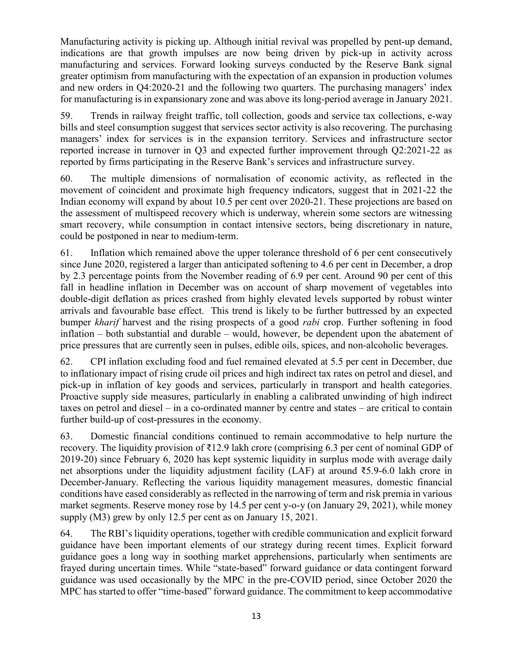Manufacturing activity is picking up. Although initial revival was propelled by pent-up demand, indications are that growth impulses are now being driven by pick-up in activity across manufacturing and services. Forward looking surveys conducted by the Reserve Bank signal greater optimism from manufacturing with the expectation of an expansion in production volumes and new orders in Q4:2020-21 and the following two quarters. The purchasing managers' index for manufacturing is in expansionary zone and was above its long-period average in January 2021.

59. Trends in railway freight traffic, toll collection, goods and service tax collections, e-way bills and steel consumption suggest that services sector activity is also recovering. The purchasing managers' index for services is in the expansion territory. Services and infrastructure sector reported increase in turnover in Q3 and expected further improvement through Q2:2021-22 as reported by firms participating in the Reserve Bank's services and infrastructure survey.

60. The multiple dimensions of normalisation of economic activity, as reflected in the movement of coincident and proximate high frequency indicators, suggest that in 2021-22 the Indian economy will expand by about 10.5 per cent over 2020-21. These projections are based on the assessment of multispeed recovery which is underway, wherein some sectors are witnessing smart recovery, while consumption in contact intensive sectors, being discretionary in nature, could be postponed in near to medium-term.

61. Inflation which remained above the upper tolerance threshold of 6 per cent consecutively since June 2020, registered a larger than anticipated softening to 4.6 per cent in December, a drop by 2.3 percentage points from the November reading of 6.9 per cent. Around 90 per cent of this fall in headline inflation in December was on account of sharp movement of vegetables into double-digit deflation as prices crashed from highly elevated levels supported by robust winter arrivals and favourable base effect. This trend is likely to be further buttressed by an expected bumper *kharif* harvest and the rising prospects of a good *rabi* crop. Further softening in food inflation – both substantial and durable – would, however, be dependent upon the abatement of price pressures that are currently seen in pulses, edible oils, spices, and non-alcoholic beverages.

62. CPI inflation excluding food and fuel remained elevated at 5.5 per cent in December, due to inflationary impact of rising crude oil prices and high indirect tax rates on petrol and diesel, and pick-up in inflation of key goods and services, particularly in transport and health categories. Proactive supply side measures, particularly in enabling a calibrated unwinding of high indirect taxes on petrol and diesel – in a co-ordinated manner by centre and states – are critical to contain further build-up of cost-pressures in the economy.

63. Domestic financial conditions continued to remain accommodative to help nurture the recovery. The liquidity provision of ₹12.9 lakh crore (comprising 6.3 per cent of nominal GDP of 2019-20) since February 6, 2020 has kept systemic liquidity in surplus mode with average daily net absorptions under the liquidity adjustment facility (LAF) at around ₹5.9-6.0 lakh crore in December-January. Reflecting the various liquidity management measures, domestic financial conditions have eased considerably as reflected in the narrowing of term and risk premia in various market segments. Reserve money rose by 14.5 per cent y-o-y (on January 29, 2021), while money supply (M3) grew by only 12.5 per cent as on January 15, 2021.

64. The RBI's liquidity operations, together with credible communication and explicit forward guidance have been important elements of our strategy during recent times. Explicit forward guidance goes a long way in soothing market apprehensions, particularly when sentiments are frayed during uncertain times. While "state-based" forward guidance or data contingent forward guidance was used occasionally by the MPC in the pre-COVID period, since October 2020 the MPC has started to offer "time-based" forward guidance. The commitment to keep accommodative